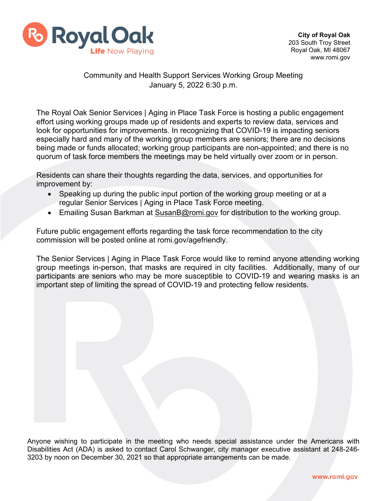

## Community and Health Support Services Working Group Meeting January 5, 2022 6:30 p.m.

The Royal Oak Senior Services | Aging in Place Task Force is hosting a public engagement effort using working groups made up of residents and experts to review data, services and look for opportunities for improvements. In recognizing that COVID-19 is impacting seniors especially hard and many of the working group members are seniors; there are no decisions being made or funds allocated; working group participants are non-appointed; and there is no quorum of task force members the meetings may be held virtually over zoom or in person.

Residents can share their thoughts regarding the data, services, and opportunities for improvement by:

- Speaking up during the public input portion of the working group meeting or at a regular Senior Services | Aging in Place Task Force meeting.
- Emailing Susan Barkman at [SusanB@romi.gov](mailto:SusanB@romi.gov) for distribution to the working group.

Future public engagement efforts regarding the task force recommendation to the city commission will be posted online at romi.gov/agefriendly.

The Senior Services | Aging in Place Task Force would like to remind anyone attending working group meetings in-person, that masks are required in city facilities. Additionally, many of our participants are seniors who may be more susceptible to COVID-19 and wearing masks is an important step of limiting the spread of COVID-19 and protecting fellow residents.

Anyone wishing to participate in the meeting who needs special assistance under the Americans with Disabilities Act (ADA) is asked to contact Carol Schwanger, city manager executive assistant at 248-246- 3203 by noon on December 30, 2021 so that appropriate arrangements can be made.